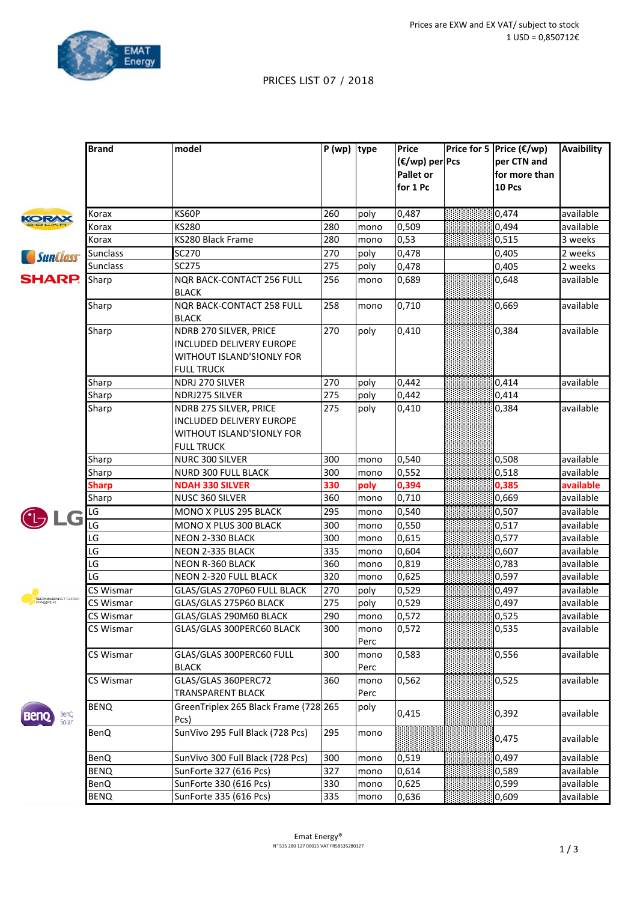

## PRICES LIST 07 / 2018

|                       | <b>Brand</b>           | model                                                                                                | $P (wp)$ type |              | Price<br>(€/wp) per Pcs<br><b>Pallet or</b><br>for 1 Pc | Price for 5 Price (€/wp)<br>per CTN and<br>for more than<br><b>10 Pcs</b> | <b>Avaibility</b> |
|-----------------------|------------------------|------------------------------------------------------------------------------------------------------|---------------|--------------|---------------------------------------------------------|---------------------------------------------------------------------------|-------------------|
| KORAX                 | Korax                  | <b>KS60P</b>                                                                                         | 260           | poly         | 0,487                                                   | 0,474                                                                     | available         |
|                       | Korax                  | <b>KS280</b>                                                                                         | 280           | mono         | 0,509                                                   | 0,494                                                                     | available         |
|                       | Korax                  | KS280 Black Frame                                                                                    | 280           | mono         | 0, 53                                                   | 0,515                                                                     | 3 weeks           |
| <i>SunClass</i>       | <b>Sunclass</b>        | SC270                                                                                                | 270           | poly         | 0,478                                                   | 0,405                                                                     | 2 weeks           |
|                       | <b>Sunclass</b>        | <b>SC275</b>                                                                                         | 275           | poly         | 0,478                                                   | 0,405                                                                     | 2 weeks           |
| <b>SHARP.</b>         | Sharp                  | <b>NQR BACK-CONTACT 256 FULL</b><br><b>BLACK</b>                                                     | 256           | mono         | 0,689                                                   | 0,648                                                                     | available         |
|                       | Sharp                  | NQR BACK-CONTACT 258 FULL<br><b>BLACK</b>                                                            | 258           | mono         | 0,710                                                   | 0,669                                                                     | available         |
|                       | Sharp                  | NDRB 270 SILVER, PRICE<br>INCLUDED DELIVERY EUROPE<br>WITHOUT ISLAND'S!ONLY FOR<br><b>FULL TRUCK</b> | 270           | poly         | 0,410                                                   | 0,384                                                                     | available         |
|                       | Sharp                  | NDRJ 270 SILVER                                                                                      | 270           | poly         | 0,442                                                   | 0,414                                                                     | available         |
|                       | Sharp                  | NDRJ275 SILVER                                                                                       | 275           | poly         | 0,442                                                   | 0,414                                                                     |                   |
|                       | Sharp                  | NDRB 275 SILVER, PRICE<br>INCLUDED DELIVERY EUROPE<br>WITHOUT ISLAND'S!ONLY FOR<br><b>FULL TRUCK</b> | 275           | poly         | 0,410                                                   | 0,384                                                                     | available         |
|                       | Sharp                  | NURC 300 SILVER                                                                                      | 300           | mono         | 0,540                                                   | 0,508                                                                     | available         |
|                       | Sharp                  | <b>NURD 300 FULL BLACK</b>                                                                           | 300           | mono         | 0,552                                                   | 0,518                                                                     | available         |
|                       | <b>Sharp</b>           | <b>NDAH 330 SILVER</b>                                                                               | 330           | poly         | 0,394                                                   | 0,385                                                                     | available         |
|                       | Sharp                  | NUSC 360 SILVER                                                                                      | 360           | mono         | 0,710                                                   | 0,669                                                                     | available         |
| LG                    | LG                     | MONO X PLUS 295 BLACK                                                                                | 295           | mono         | 0,540                                                   | 0,507                                                                     | available         |
|                       | LG                     | MONO X PLUS 300 BLACK                                                                                | 300           | mono         | 0,550                                                   | 0,517                                                                     | available         |
|                       | LG                     | NEON 2-330 BLACK                                                                                     | 300           | mono         | 0,615                                                   | 0,577                                                                     | available         |
|                       | $\overline{\text{LG}}$ | NEON 2-335 BLACK                                                                                     | 335           | mono         | 0,604                                                   | 0,607                                                                     | available         |
|                       | LG                     | <b>NEON R-360 BLACK</b>                                                                              | 360           | mono         | 0,819                                                   | 0,783                                                                     | available         |
|                       | LG                     | NEON 2-320 FULL BLACK                                                                                | 320           | mono         | 0,625                                                   | 0,597                                                                     | available         |
|                       | CS Wismar              | GLAS/GLAS 270P60 FULL BLACK                                                                          | 270           | poly         | 0,529                                                   | 0,497                                                                     | available         |
| SONNENSTROM<br>FABRIK | CS Wismar              | GLAS/GLAS 275P60 BLACK                                                                               | 275           | poly         | 0,529                                                   | 0,497                                                                     | available         |
|                       | CS Wismar              | GLAS/GLAS 290M60 BLACK                                                                               | 290           | mono         | 0,572                                                   | 0,525                                                                     | available         |
|                       | CS Wismar              | GLAS/GLAS 300PERC60 BLACK                                                                            | 300           | mono<br>Perc | 0, 572                                                  | 0,535                                                                     | available         |
|                       | CS Wismar              | GLAS/GLAS 300PERC60 FULL<br><b>BLACK</b>                                                             | 300           | mono<br>Perc | 0,583                                                   | 0,556                                                                     | available         |
|                       | CS Wismar              | GLAS/GLAS 360PERC72<br><b>TRANSPARENT BLACK</b>                                                      | 360           | mono<br>Perc | 0,562                                                   | 0,525                                                                     | available         |
| BenQ<br>Solar         | <b>BENQ</b>            | GreenTriplex 265 Black Frame (728 265<br>Pcs)                                                        |               | poly         | 0,415                                                   | 0,392                                                                     | available         |
|                       | <b>BenQ</b>            | SunVivo 295 Full Black (728 Pcs)                                                                     | 295           | mono         |                                                         | 0,475                                                                     | available         |
|                       | <b>BenQ</b>            | SunVivo 300 Full Black (728 Pcs)                                                                     | 300           | mono         | 0,519                                                   | 0,497                                                                     | available         |
|                       | <b>BENQ</b>            | SunForte 327 (616 Pcs)                                                                               | 327           | mono         | 0,614                                                   | 0,589                                                                     | available         |
|                       | <b>BenQ</b>            | SunForte 330 (616 Pcs)                                                                               | 330           | mono         | 0,625                                                   | 0,599                                                                     | available         |
|                       | <b>BENQ</b>            | SunForte 335 (616 Pcs)                                                                               | 335           | mono         | 0,636                                                   | 0,609                                                                     | available         |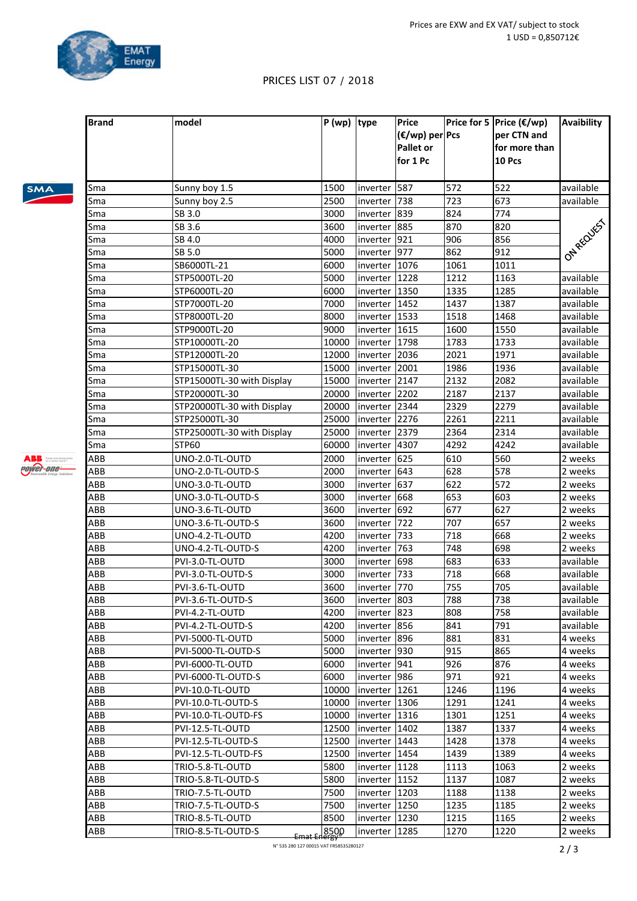**Price for 5** Price (€/wp)

**per CTN** and

**Avaibility**

**(€/wp) per Pcs**

## PRICES LIST 07 / 2018

**Brand model P** (wp) **type Price** 

| <b>SMA</b> |  |
|------------|--|
|            |  |

ABB excess **Power-one-**

|            |                                      |                     |                          | Pallet or<br>for 1 Pc |            | for more than<br>10 Pcs |                        |
|------------|--------------------------------------|---------------------|--------------------------|-----------------------|------------|-------------------------|------------------------|
| Sma        | Sunny boy 1.5                        | 1500                | inverter   587           |                       | 572        | 522                     | available              |
| Sma        | Sunny boy 2.5                        | 2500                | inverter   738           |                       | 723        | 673                     | available              |
| Sma        | SB 3.0                               | 3000                | inverter 839             |                       | 824        | 774                     |                        |
| Sma        | SB 3.6                               | 3600                | inverter 885             |                       | 870        | 820                     | ONAREQUES              |
| Sma        | SB 4.0                               | 4000                | inverter 921             |                       | 906        | 856                     |                        |
| Sma        | SB 5.0                               | 5000                | inverter 977             |                       | 862        | 912                     |                        |
| Sma        | SB6000TL-21                          | 6000                | inverter 1076            |                       | 1061       | 1011                    |                        |
| Sma        | STP5000TL-20                         | 5000                | inverter   1228          |                       | 1212       | 1163                    | available              |
| Sma        | STP6000TL-20                         | 6000                | inverter   1350          |                       | 1335       | 1285                    | available              |
| Sma        | STP7000TL-20                         | 7000                | inverter   1452          |                       | 1437       | 1387                    | available              |
| Sma        | STP8000TL-20                         | 8000                | inverter   1533          |                       | 1518       | 1468                    | available              |
| Sma        | STP9000TL-20                         | 9000                | inverter 1615            |                       | 1600       | 1550                    | available              |
| Sma        | STP10000TL-20                        | 10000               | inverter 1798            |                       | 1783       | 1733                    | available              |
| Sma        | STP12000TL-20                        | 12000               | inverter 2036            |                       | 2021       | 1971                    | available              |
| Sma        | STP15000TL-30                        | 15000               | inverter 2001            |                       | 1986       | 1936                    | available              |
| Sma        | STP15000TL-30 with Display           | 15000               | inverter 2147            |                       | 2132       | 2082                    | available              |
| Sma        | STP20000TL-30                        | 20000               | inverter 2202            |                       | 2187       | 2137                    | available              |
| Sma        | STP20000TL-30 with Display           | 20000               | inverter 2344            |                       | 2329       | 2279                    | available              |
| Sma        | STP25000TL-30                        | 25000               | inverter 2276            |                       | 2261       | 2211                    | available              |
| Sma        | STP25000TL-30 with Display           | 25000               | inverter 2379            |                       | 2364       | 2314                    | available              |
| Sma        | <b>STP60</b>                         | 60000               | inverter 4307            |                       | 4292       | 4242                    | available              |
| ABB        | UNO-2.0-TL-OUTD                      | 2000                | inverter                 | 625                   | 610        | 560                     | 2 weeks                |
| ABB        | UNO-2.0-TL-OUTD-S                    | 2000                | inverter                 | 643                   | 628        | 578                     | 2 weeks                |
| ABB        | UNO-3.0-TL-OUTD                      | 3000                | inverter                 | 637                   | 622        | 572                     | 2 weeks                |
| ABB        | UNO-3.0-TL-OUTD-S                    | 3000                | inverter                 | 668                   | 653        | 603                     | 2 weeks                |
| ABB        | UNO-3.6-TL-OUTD                      | 3600                | inverter                 | 692                   | 677        | 627                     | 2 weeks                |
| ABB        | UNO-3.6-TL-OUTD-S                    | 3600                | inverter                 | 722                   | 707        | 657                     | 2 weeks                |
| ABB        | UNO-4.2-TL-OUTD                      | 4200                | inverter                 | 733                   | 718        | 668                     | 2 weeks                |
| ABB        | UNO-4.2-TL-OUTD-S                    | 4200                | inverter                 | 763                   | 748        | 698                     | 2 weeks                |
| ABB        | PVI-3.0-TL-OUTD                      | 3000                | inverter                 | 698                   | 683        | 633                     | available              |
| ABB        | PVI-3.0-TL-OUTD-S                    | 3000                | inverter                 | 733                   | 718        | 668                     | available              |
| ABB        |                                      | 3600                |                          | 770                   | 755        | 705                     | available              |
| ABB        | PVI-3.6-TL-OUTD<br>PVI-3.6-TL-OUTD-S | 3600                | inverter                 | 803                   | 788        | 738                     | available              |
|            |                                      |                     | inverter<br>inverter 823 |                       |            |                         |                        |
| ABB<br>ABB | PVI-4.2-TL-OUTD<br>PVI-4.2-TL-OUTD-S | 4200<br>4200        | inverter 856             |                       | 808<br>841 | 758<br>791              | available<br>available |
|            |                                      |                     |                          |                       |            |                         |                        |
| ABB        | PVI-5000-TL-OUTD                     | 5000                | inverter  896            |                       | 881        | 831                     | 4 weeks                |
| ABB        | PVI-5000-TL-OUTD-S                   | 5000                | inverter  930            |                       | 915        | 865                     | 4 weeks                |
| ABB        | PVI-6000-TL-OUTD                     | 6000                | inverter                 | 941                   | 926        | 876                     | 4 weeks                |
| ABB        | PVI-6000-TL-OUTD-S                   | 6000                | inverter   986           |                       | 971        | 921                     | 4 weeks                |
| ABB        | PVI-10.0-TL-OUTD                     | 10000               | linverter                | 1261                  | 1246       | 1196                    | 4 weeks                |
| ABB        | PVI-10.0-TL-OUTD-S                   | 10000               | inverter 1306            |                       | 1291       | 1241                    | 4 weeks                |
| ABB        | PVI-10.0-TL-OUTD-FS                  | 10000               | inverter                 | 1316                  | 1301       | 1251                    | 4 weeks                |
| ABB        | PVI-12.5-TL-OUTD                     | 12500               | linverter                | 1402                  | 1387       | 1337                    | 4 weeks                |
| ABB        | PVI-12.5-TL-OUTD-S                   | 12500               | inverter                 | 1443                  | 1428       | 1378                    | 4 weeks                |
| ABB        | PVI-12.5-TL-OUTD-FS                  | 12500               | inverter                 | 1454                  | 1439       | 1389                    | 4 weeks                |
| ABB        | TRIO-5.8-TL-OUTD                     | 5800                | inverter                 | 1128                  | 1113       | 1063                    | 2 weeks                |
| ABB        | TRIO-5.8-TL-OUTD-S                   | 5800                | inverter                 | 1152                  | 1137       | 1087                    | 2 weeks                |
| ABB        | TRIO-7.5-TL-OUTD                     | 7500                | inverter                 | 1203                  | 1188       | 1138                    | 2 weeks                |
| ABB        | TRIO-7.5-TL-OUTD-S                   | 7500                | inverter                 | 1250                  | 1235       | 1185                    | 2 weeks                |
| ABB        | TRIO-8.5-TL-OUTD                     | 8500                | inverter                 | 1230                  | 1215       | 1165                    | 2 weeks                |
| ABB        | TRIO-8.5-TL-OUTD-S                   | 8500<br>Emat Energy | inverter                 | 1285                  | 1270       | 1220                    | 2 weeks                |

N° 535 280 127 00015 VAT FR58535280127 **2** / 3